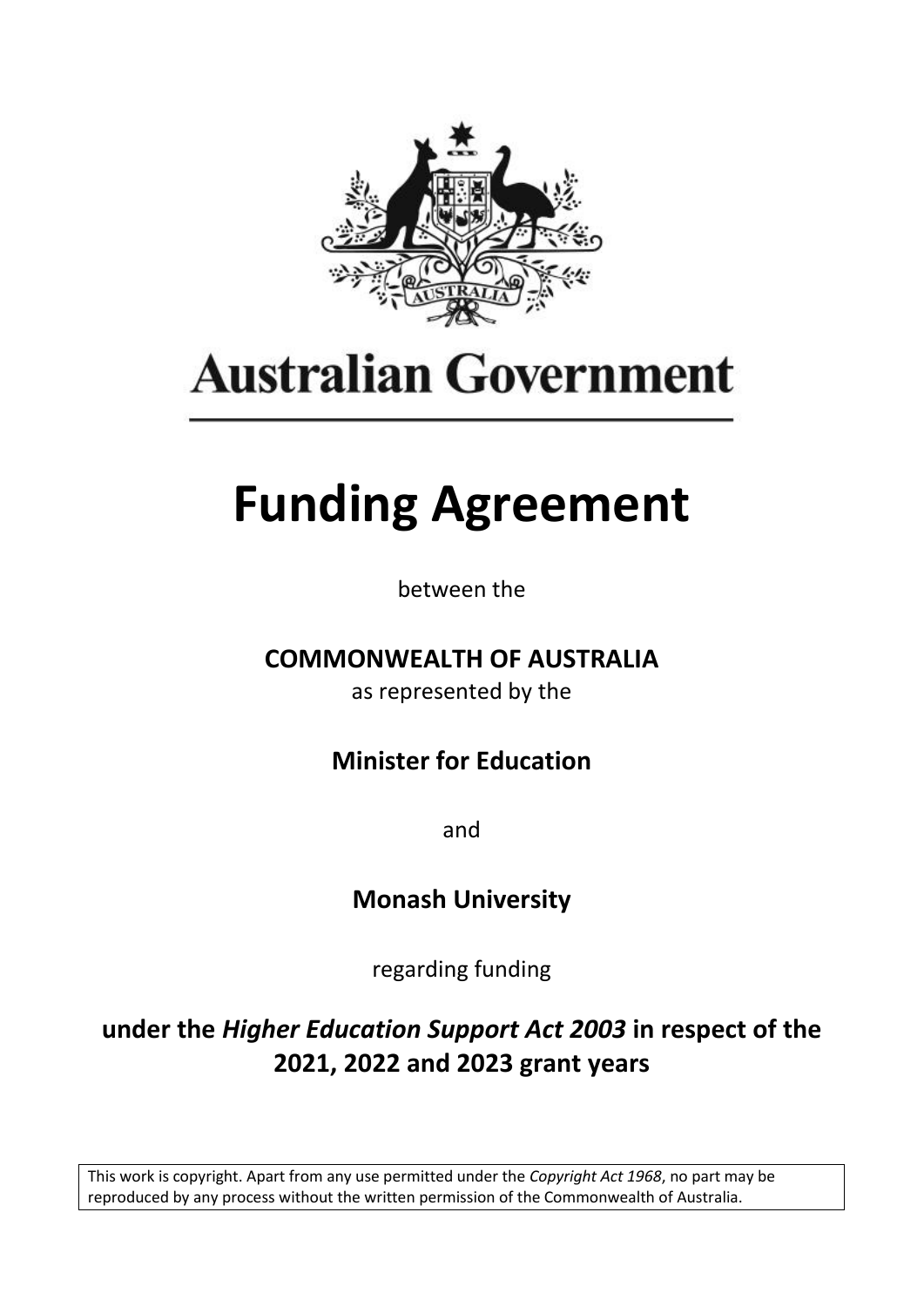

# **Australian Government**

# **Funding Agreement**

between the

# **COMMONWEALTH OF AUSTRALIA**

as represented by the

**Minister for Education** 

and

# **Monash University**

regarding funding

**under the** *Higher Education Support Act 2003* **in respect of the 2021, 2022 and 2023 grant years**

This work is copyright. Apart from any use permitted under the *Copyright Act 1968*, no part may be reproduced by any process without the written permission of the Commonwealth of Australia.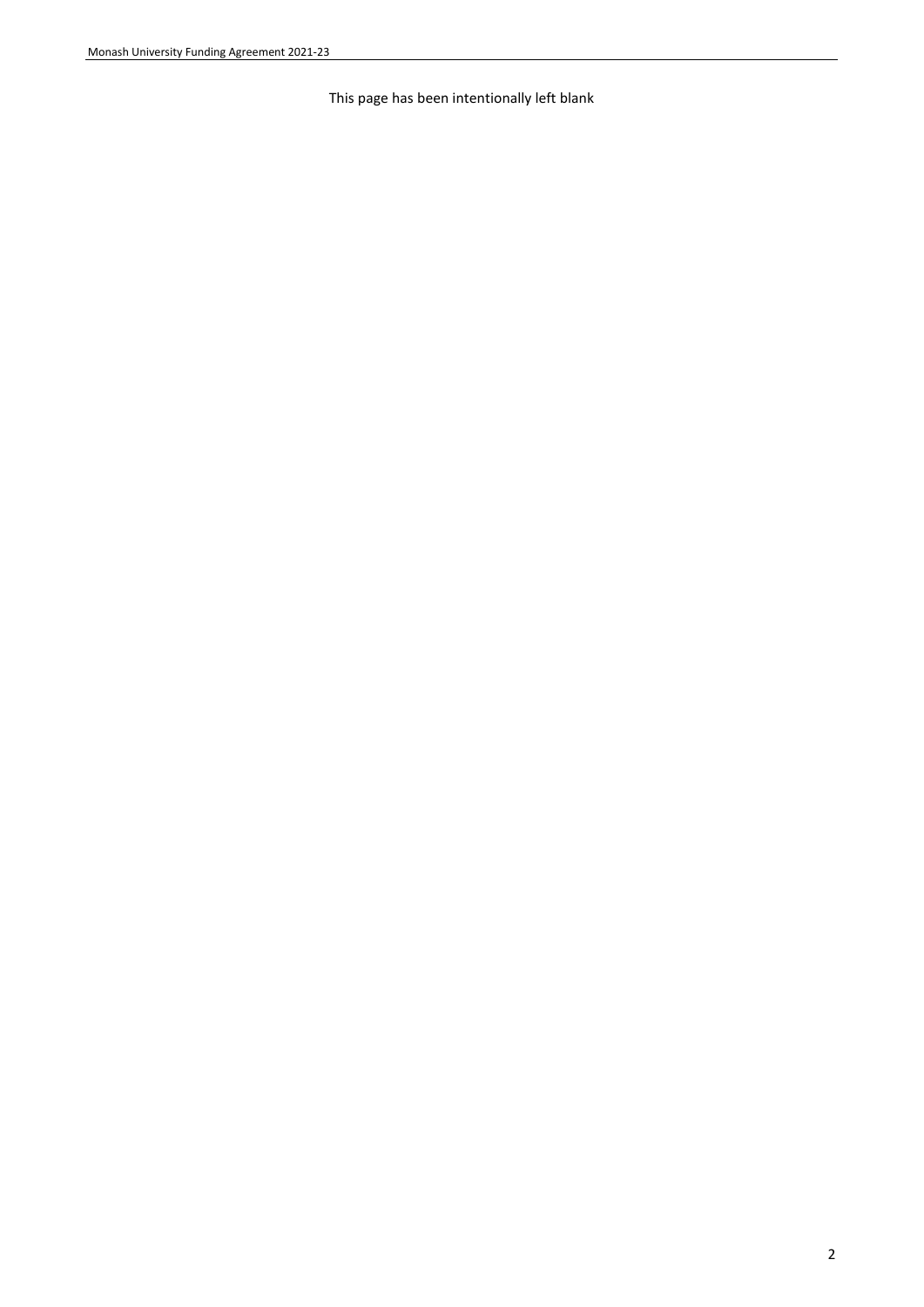This page has been intentionally left blank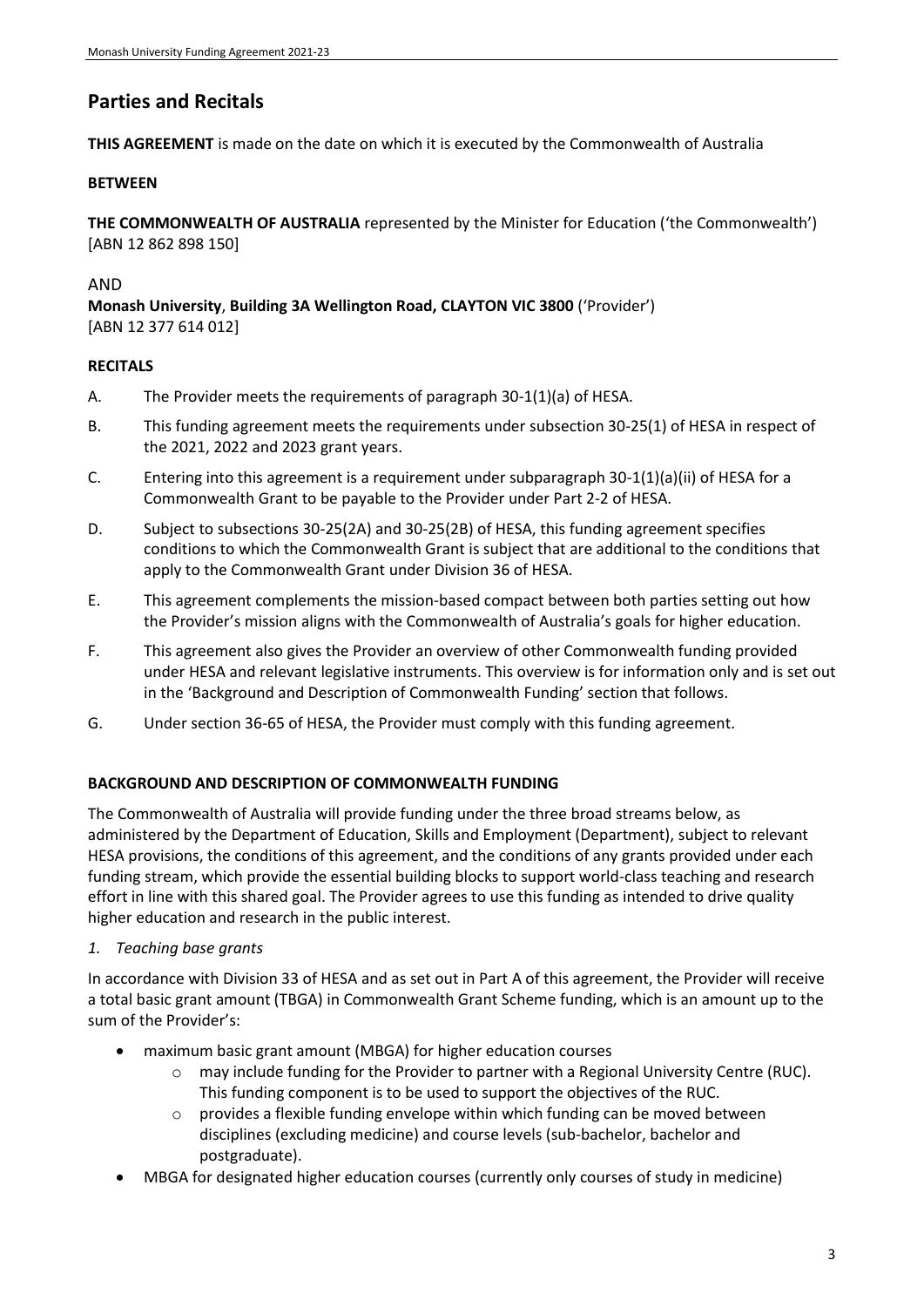# **Parties and Recitals**

**THIS AGREEMENT** is made on the date on which it is executed by the Commonwealth of Australia

# **BETWEEN**

**THE COMMONWEALTH OF AUSTRALIA** represented by the Minister for Education ('the Commonwealth') [ABN 12 862 898 150]

# AND

**Monash University**, **Building 3A Wellington Road, CLAYTON VIC 3800** ('Provider') [ABN 12 377 614 012]

# **RECITALS**

- A. The Provider meets the requirements of paragraph 30-1(1)(a) of HESA.
- B. This funding agreement meets the requirements under subsection 30-25(1) of HESA in respect of the 2021, 2022 and 2023 grant years.
- C. Entering into this agreement is a requirement under subparagraph 30-1(1)(a)(ii) of HESA for a Commonwealth Grant to be payable to the Provider under Part 2-2 of HESA.
- D. Subject to subsections 30-25(2A) and 30-25(2B) of HESA, this funding agreement specifies conditions to which the Commonwealth Grant is subject that are additional to the conditions that apply to the Commonwealth Grant under Division 36 of HESA.
- E. This agreement complements the mission-based compact between both parties setting out how the Provider's mission aligns with the Commonwealth of Australia's goals for higher education.
- F. This agreement also gives the Provider an overview of other Commonwealth funding provided under HESA and relevant legislative instruments. This overview is for information only and is set out in the 'Background and Description of Commonwealth Funding' section that follows.
- G. Under section 36-65 of HESA, the Provider must comply with this funding agreement.

# **BACKGROUND AND DESCRIPTION OF COMMONWEALTH FUNDING**

The Commonwealth of Australia will provide funding under the three broad streams below, as administered by the Department of Education, Skills and Employment (Department), subject to relevant HESA provisions, the conditions of this agreement, and the conditions of any grants provided under each funding stream, which provide the essential building blocks to support world-class teaching and research effort in line with this shared goal. The Provider agrees to use this funding as intended to drive quality higher education and research in the public interest.

# *1. Teaching base grants*

In accordance with Division 33 of HESA and as set out in Part A of this agreement, the Provider will receive a total basic grant amount (TBGA) in Commonwealth Grant Scheme funding, which is an amount up to the sum of the Provider's:

- maximum basic grant amount (MBGA) for higher education courses
	- o may include funding for the Provider to partner with a Regional University Centre (RUC). This funding component is to be used to support the objectives of the RUC.
	- $\circ$  provides a flexible funding envelope within which funding can be moved between disciplines (excluding medicine) and course levels (sub-bachelor, bachelor and postgraduate).
- MBGA for designated higher education courses (currently only courses of study in medicine)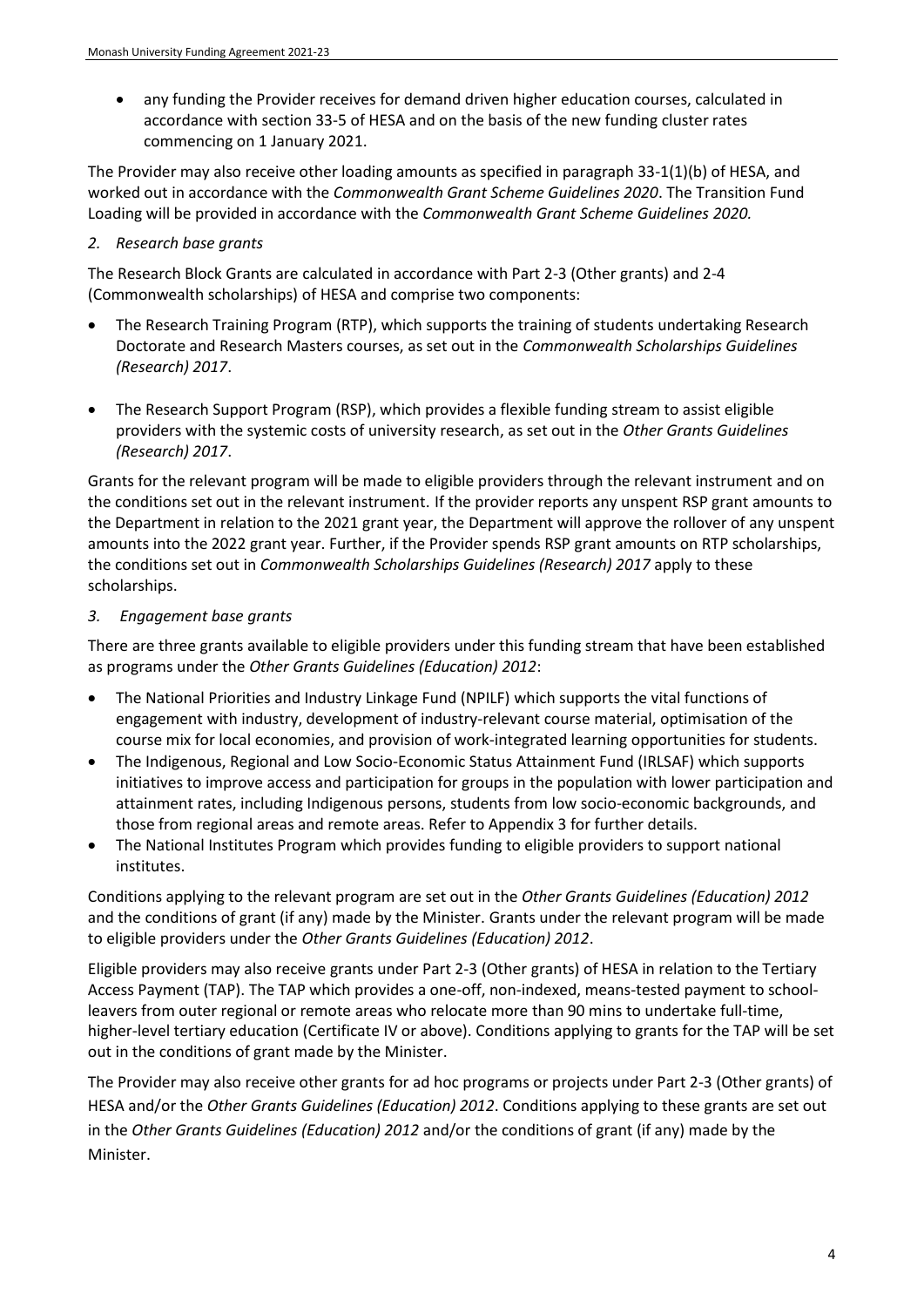• any funding the Provider receives for demand driven higher education courses, calculated in accordance with section 33-5 of HESA and on the basis of the new funding cluster rates commencing on 1 January 2021.

The Provider may also receive other loading amounts as specified in paragraph 33-1(1)(b) of HESA, and worked out in accordance with the *Commonwealth Grant Scheme Guidelines 2020*. The Transition Fund Loading will be provided in accordance with the *Commonwealth Grant Scheme Guidelines 2020.*

*2. Research base grants*

The Research Block Grants are calculated in accordance with Part 2-3 (Other grants) and 2-4 (Commonwealth scholarships) of HESA and comprise two components:

- The Research Training Program (RTP), which supports the training of students undertaking Research Doctorate and Research Masters courses, as set out in the *Commonwealth Scholarships Guidelines (Research) 2017*.
- The Research Support Program (RSP), which provides a flexible funding stream to assist eligible providers with the systemic costs of university research, as set out in the *Other Grants Guidelines (Research) 2017*.

Grants for the relevant program will be made to eligible providers through the relevant instrument and on the conditions set out in the relevant instrument. If the provider reports any unspent RSP grant amounts to the Department in relation to the 2021 grant year, the Department will approve the rollover of any unspent amounts into the 2022 grant year. Further, if the Provider spends RSP grant amounts on RTP scholarships, the conditions set out in *Commonwealth Scholarships Guidelines (Research) 2017* apply to these scholarships.

# *3. Engagement base grants*

There are three grants available to eligible providers under this funding stream that have been established as programs under the *Other Grants Guidelines (Education) 2012*:

- The National Priorities and Industry Linkage Fund (NPILF) which supports the vital functions of engagement with industry, development of industry-relevant course material, optimisation of the course mix for local economies, and provision of work-integrated learning opportunities for students.
- The Indigenous, Regional and Low Socio-Economic Status Attainment Fund (IRLSAF) which supports initiatives to improve access and participation for groups in the population with lower participation and attainment rates, including Indigenous persons, students from low socio-economic backgrounds, and those from regional areas and remote areas. Refer to Appendix 3 for further details.
- The National Institutes Program which provides funding to eligible providers to support national institutes.

Conditions applying to the relevant program are set out in the *Other Grants Guidelines (Education) 2012* and the conditions of grant (if any) made by the Minister. Grants under the relevant program will be made to eligible providers under the *Other Grants Guidelines (Education) 2012*.

Eligible providers may also receive grants under Part 2-3 (Other grants) of HESA in relation to the Tertiary Access Payment (TAP). The TAP which provides a one-off, non-indexed, means-tested payment to schoolleavers from outer regional or remote areas who relocate more than 90 mins to undertake full-time, higher-level tertiary education (Certificate IV or above). Conditions applying to grants for the TAP will be set out in the conditions of grant made by the Minister.

The Provider may also receive other grants for ad hoc programs or projects under Part 2-3 (Other grants) of HESA and/or the *Other Grants Guidelines (Education) 2012*. Conditions applying to these grants are set out in the *Other Grants Guidelines (Education) 2012* and/or the conditions of grant (if any) made by the Minister.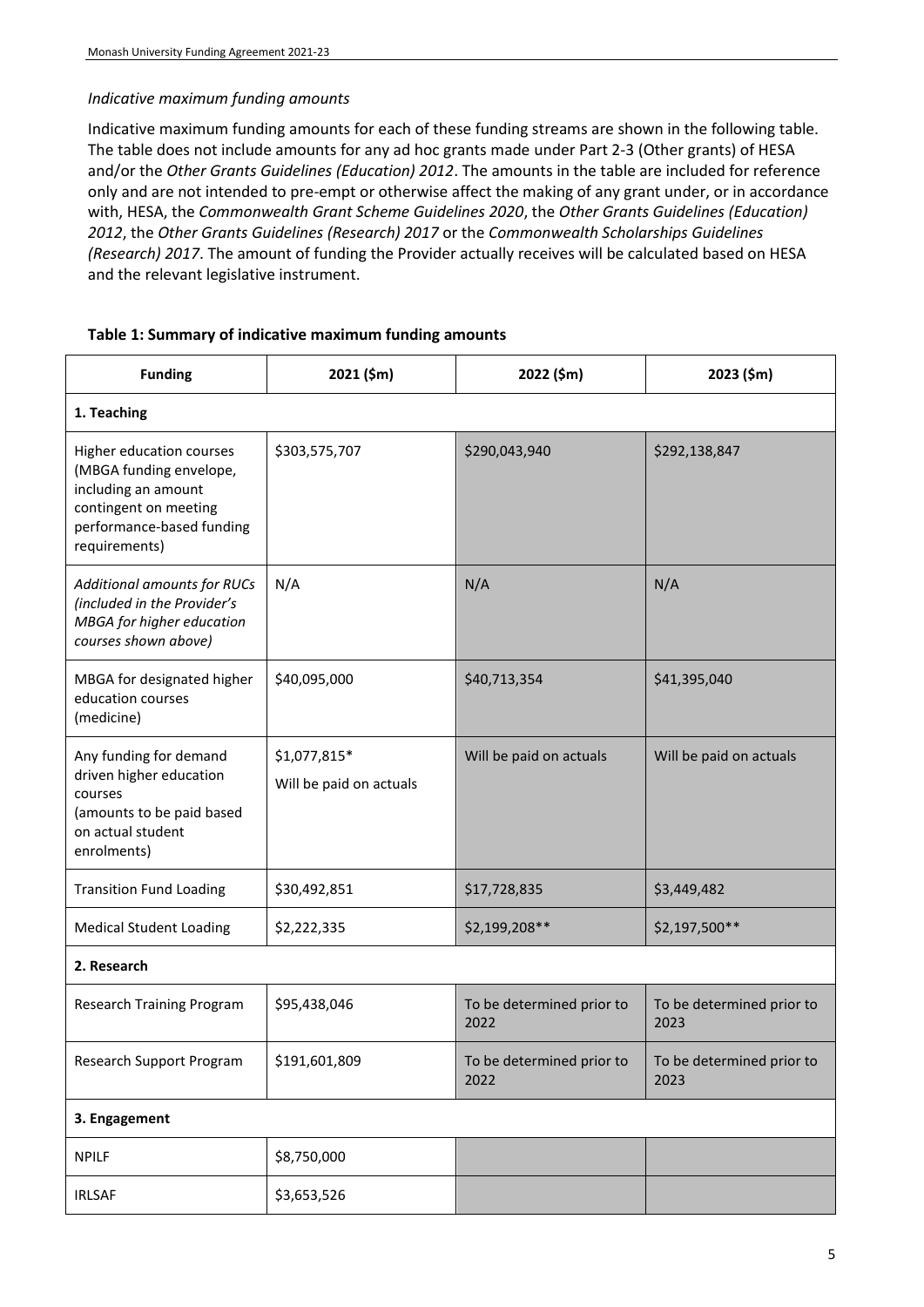# *Indicative maximum funding amounts*

Indicative maximum funding amounts for each of these funding streams are shown in the following table. The table does not include amounts for any ad hoc grants made under Part 2-3 (Other grants) of HESA and/or the *Other Grants Guidelines (Education) 2012*. The amounts in the table are included for reference only and are not intended to pre-empt or otherwise affect the making of any grant under, or in accordance with, HESA, the *Commonwealth Grant Scheme Guidelines 2020*, the *Other Grants Guidelines (Education) 2012*, the *Other Grants Guidelines (Research) 2017* or the *Commonwealth Scholarships Guidelines (Research) 2017*. The amount of funding the Provider actually receives will be calculated based on HESA and the relevant legislative instrument.

#### **Table 1: Summary of indicative maximum funding amounts**

| <b>Funding</b>                                                                                                                                    | 2021 (\$m)                              | 2022 (\$m)                        | 2023 (\$m)                        |
|---------------------------------------------------------------------------------------------------------------------------------------------------|-----------------------------------------|-----------------------------------|-----------------------------------|
| 1. Teaching                                                                                                                                       |                                         |                                   |                                   |
| Higher education courses<br>(MBGA funding envelope,<br>including an amount<br>contingent on meeting<br>performance-based funding<br>requirements) | \$303,575,707                           | \$290,043,940                     | \$292,138,847                     |
| Additional amounts for RUCs<br>(included in the Provider's<br>MBGA for higher education<br>courses shown above)                                   | N/A                                     | N/A                               | N/A                               |
| MBGA for designated higher<br>education courses<br>(medicine)                                                                                     | \$40,095,000                            | \$40,713,354                      | \$41,395,040                      |
| Any funding for demand<br>driven higher education<br>courses<br>(amounts to be paid based<br>on actual student<br>enrolments)                     | \$1,077,815*<br>Will be paid on actuals | Will be paid on actuals           | Will be paid on actuals           |
| <b>Transition Fund Loading</b>                                                                                                                    | \$30,492,851                            | \$17,728,835                      | \$3,449,482                       |
| <b>Medical Student Loading</b>                                                                                                                    | \$2,222,335                             | \$2,199,208**                     | \$2,197,500**                     |
| 2. Research                                                                                                                                       |                                         |                                   |                                   |
| <b>Research Training Program</b>                                                                                                                  | \$95,438,046                            | To be determined prior to<br>2022 | To be determined prior to<br>2023 |
| Research Support Program                                                                                                                          | \$191,601,809                           | To be determined prior to<br>2022 | To be determined prior to<br>2023 |
| 3. Engagement                                                                                                                                     |                                         |                                   |                                   |
| <b>NPILF</b>                                                                                                                                      | \$8,750,000                             |                                   |                                   |
| <b>IRLSAF</b>                                                                                                                                     | \$3,653,526                             |                                   |                                   |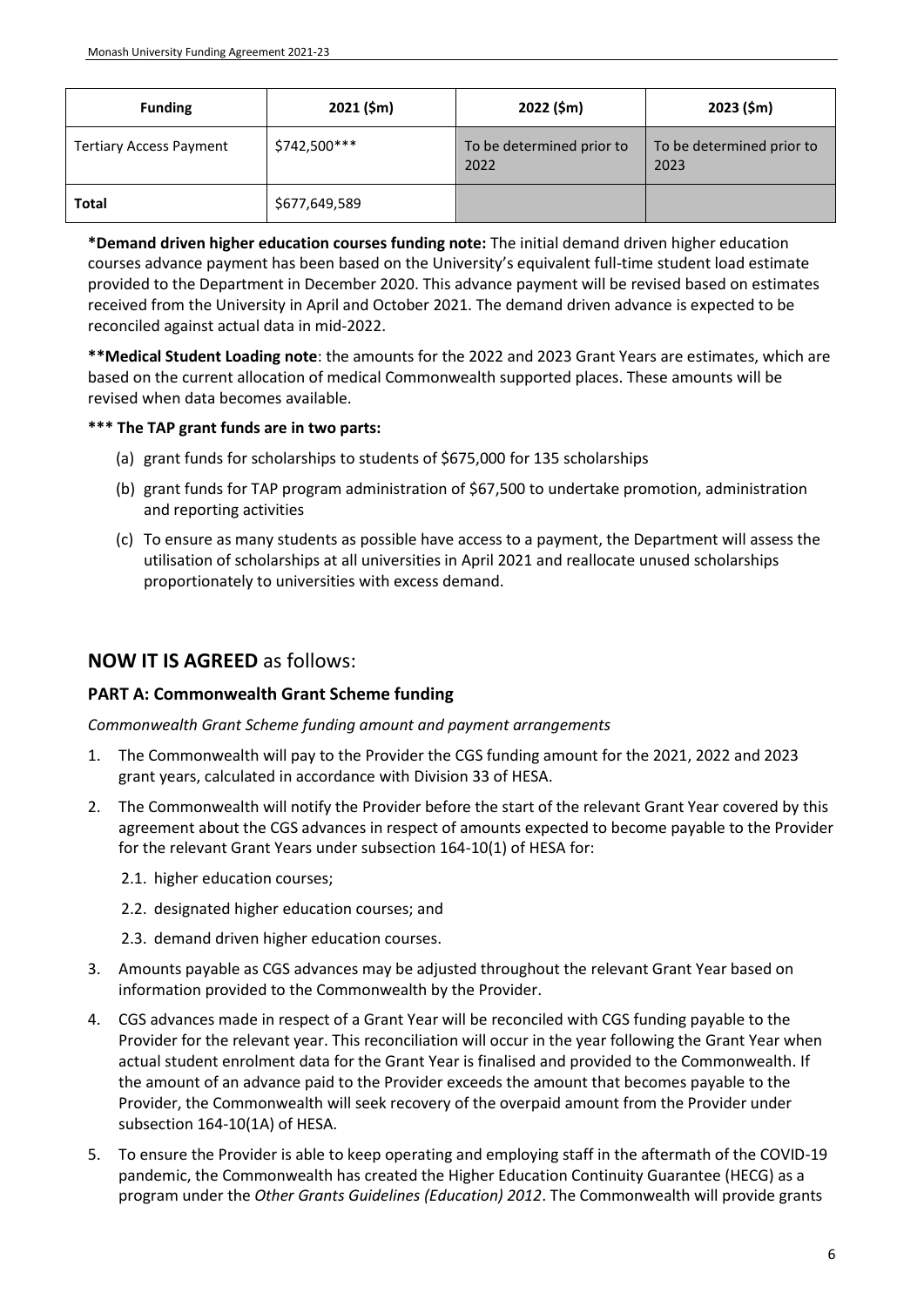| <b>Funding</b>                 | 2021 (\$m)    | 2022 (\$m)                        | 2023 (\$m)                        |
|--------------------------------|---------------|-----------------------------------|-----------------------------------|
| <b>Tertiary Access Payment</b> | \$742,500 *** | To be determined prior to<br>2022 | To be determined prior to<br>2023 |
| <b>Total</b>                   | \$677,649,589 |                                   |                                   |

**\*Demand driven higher education courses funding note:** The initial demand driven higher education courses advance payment has been based on the University's equivalent full-time student load estimate provided to the Department in December 2020. This advance payment will be revised based on estimates received from the University in April and October 2021. The demand driven advance is expected to be reconciled against actual data in mid-2022.

**\*\*Medical Student Loading note**: the amounts for the 2022 and 2023 Grant Years are estimates, which are based on the current allocation of medical Commonwealth supported places. These amounts will be revised when data becomes available.

#### **\*\*\* The TAP grant funds are in two parts:**

- (a) grant funds for scholarships to students of \$675,000 for 135 scholarships
- (b) grant funds for TAP program administration of \$67,500 to undertake promotion, administration and reporting activities
- (c) To ensure as many students as possible have access to a payment, the Department will assess the utilisation of scholarships at all universities in April 2021 and reallocate unused scholarships proportionately to universities with excess demand.

# **NOW IT IS AGREED** as follows:

# **PART A: Commonwealth Grant Scheme funding**

#### *Commonwealth Grant Scheme funding amount and payment arrangements*

- 1. The Commonwealth will pay to the Provider the CGS funding amount for the 2021, 2022 and 2023 grant years, calculated in accordance with Division 33 of HESA.
- 2. The Commonwealth will notify the Provider before the start of the relevant Grant Year covered by this agreement about the CGS advances in respect of amounts expected to become payable to the Provider for the relevant Grant Years under subsection 164-10(1) of HESA for:
	- 2.1. higher education courses;
	- 2.2. designated higher education courses; and
	- 2.3. demand driven higher education courses.
- 3. Amounts payable as CGS advances may be adjusted throughout the relevant Grant Year based on information provided to the Commonwealth by the Provider.
- 4. CGS advances made in respect of a Grant Year will be reconciled with CGS funding payable to the Provider for the relevant year. This reconciliation will occur in the year following the Grant Year when actual student enrolment data for the Grant Year is finalised and provided to the Commonwealth. If the amount of an advance paid to the Provider exceeds the amount that becomes payable to the Provider, the Commonwealth will seek recovery of the overpaid amount from the Provider under subsection 164-10(1A) of HESA.
- 5. To ensure the Provider is able to keep operating and employing staff in the aftermath of the COVID-19 pandemic, the Commonwealth has created the Higher Education Continuity Guarantee (HECG) as a program under the *Other Grants Guidelines (Education) 2012*. The Commonwealth will provide grants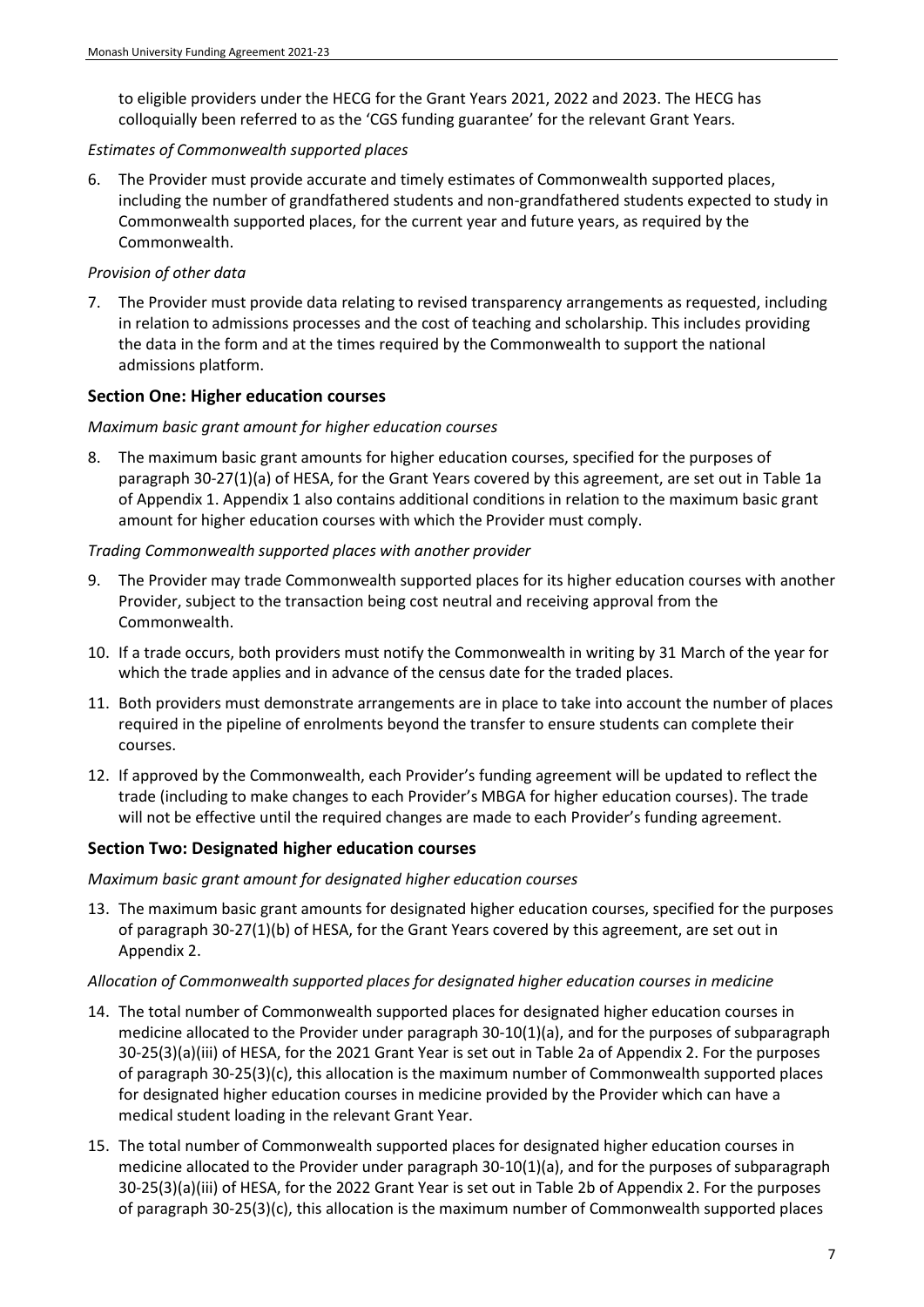to eligible providers under the HECG for the Grant Years 2021, 2022 and 2023. The HECG has colloquially been referred to as the 'CGS funding guarantee' for the relevant Grant Years.

# *Estimates of Commonwealth supported places*

6. The Provider must provide accurate and timely estimates of Commonwealth supported places, including the number of grandfathered students and non-grandfathered students expected to study in Commonwealth supported places, for the current year and future years, as required by the Commonwealth.

# *Provision of other data*

7. The Provider must provide data relating to revised transparency arrangements as requested, including in relation to admissions processes and the cost of teaching and scholarship. This includes providing the data in the form and at the times required by the Commonwealth to support the national admissions platform.

# **Section One: Higher education courses**

# *Maximum basic grant amount for higher education courses*

8. The maximum basic grant amounts for higher education courses, specified for the purposes of paragraph 30-27(1)(a) of HESA, for the Grant Years covered by this agreement, are set out in Table 1a of Appendix 1. Appendix 1 also contains additional conditions in relation to the maximum basic grant amount for higher education courses with which the Provider must comply.

# *Trading Commonwealth supported places with another provider*

- 9. The Provider may trade Commonwealth supported places for its higher education courses with another Provider, subject to the transaction being cost neutral and receiving approval from the Commonwealth.
- 10. If a trade occurs, both providers must notify the Commonwealth in writing by 31 March of the year for which the trade applies and in advance of the census date for the traded places.
- 11. Both providers must demonstrate arrangements are in place to take into account the number of places required in the pipeline of enrolments beyond the transfer to ensure students can complete their courses.
- 12. If approved by the Commonwealth, each Provider's funding agreement will be updated to reflect the trade (including to make changes to each Provider's MBGA for higher education courses). The trade will not be effective until the required changes are made to each Provider's funding agreement.

# **Section Two: Designated higher education courses**

# *Maximum basic grant amount for designated higher education courses*

13. The maximum basic grant amounts for designated higher education courses, specified for the purposes of paragraph 30-27(1)(b) of HESA, for the Grant Years covered by this agreement, are set out in Appendix 2.

# *Allocation of Commonwealth supported places for designated higher education courses in medicine*

- 14. The total number of Commonwealth supported places for designated higher education courses in medicine allocated to the Provider under paragraph 30-10(1)(a), and for the purposes of subparagraph 30-25(3)(a)(iii) of HESA, for the 2021 Grant Year is set out in Table 2a of Appendix 2. For the purposes of paragraph 30-25(3)(c), this allocation is the maximum number of Commonwealth supported places for designated higher education courses in medicine provided by the Provider which can have a medical student loading in the relevant Grant Year.
- 15. The total number of Commonwealth supported places for designated higher education courses in medicine allocated to the Provider under paragraph 30-10(1)(a), and for the purposes of subparagraph 30-25(3)(a)(iii) of HESA, for the 2022 Grant Year is set out in Table 2b of Appendix 2. For the purposes of paragraph 30-25(3)(c), this allocation is the maximum number of Commonwealth supported places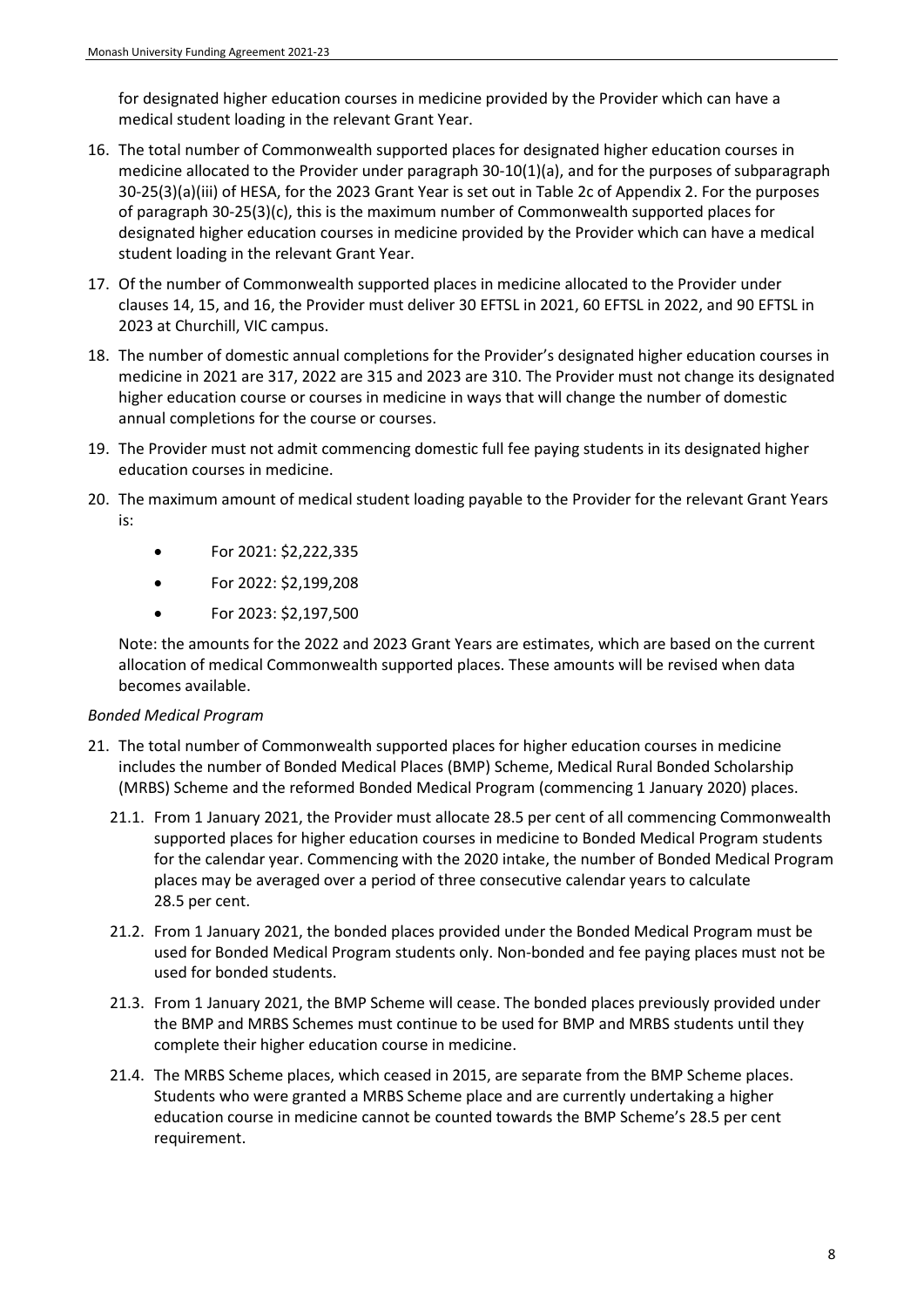for designated higher education courses in medicine provided by the Provider which can have a medical student loading in the relevant Grant Year.

- 16. The total number of Commonwealth supported places for designated higher education courses in medicine allocated to the Provider under paragraph 30-10(1)(a), and for the purposes of subparagraph 30-25(3)(a)(iii) of HESA, for the 2023 Grant Year is set out in Table 2c of Appendix 2. For the purposes of paragraph 30-25(3)(c), this is the maximum number of Commonwealth supported places for designated higher education courses in medicine provided by the Provider which can have a medical student loading in the relevant Grant Year.
- 17. Of the number of Commonwealth supported places in medicine allocated to the Provider under clauses 14, 15, and 16, the Provider must deliver 30 EFTSL in 2021, 60 EFTSL in 2022, and 90 EFTSL in 2023 at Churchill, VIC campus.
- 18. The number of domestic annual completions for the Provider's designated higher education courses in medicine in 2021 are 317, 2022 are 315 and 2023 are 310. The Provider must not change its designated higher education course or courses in medicine in ways that will change the number of domestic annual completions for the course or courses.
- 19. The Provider must not admit commencing domestic full fee paying students in its designated higher education courses in medicine.
- 20. The maximum amount of medical student loading payable to the Provider for the relevant Grant Years is:
	- For 2021: \$2,222,335
	- For 2022: \$2,199,208
	- For 2023: \$2,197,500

Note: the amounts for the 2022 and 2023 Grant Years are estimates, which are based on the current allocation of medical Commonwealth supported places. These amounts will be revised when data becomes available.

# *Bonded Medical Program*

- 21. The total number of Commonwealth supported places for higher education courses in medicine includes the number of Bonded Medical Places (BMP) Scheme, Medical Rural Bonded Scholarship (MRBS) Scheme and the reformed Bonded Medical Program (commencing 1 January 2020) places.
	- 21.1. From 1 January 2021, the Provider must allocate 28.5 per cent of all commencing Commonwealth supported places for higher education courses in medicine to Bonded Medical Program students for the calendar year. Commencing with the 2020 intake, the number of Bonded Medical Program places may be averaged over a period of three consecutive calendar years to calculate 28.5 per cent.
	- 21.2. From 1 January 2021, the bonded places provided under the Bonded Medical Program must be used for Bonded Medical Program students only. Non-bonded and fee paying places must not be used for bonded students.
	- 21.3. From 1 January 2021, the BMP Scheme will cease. The bonded places previously provided under the BMP and MRBS Schemes must continue to be used for BMP and MRBS students until they complete their higher education course in medicine.
	- 21.4. The MRBS Scheme places, which ceased in 2015, are separate from the BMP Scheme places. Students who were granted a MRBS Scheme place and are currently undertaking a higher education course in medicine cannot be counted towards the BMP Scheme's 28.5 per cent requirement.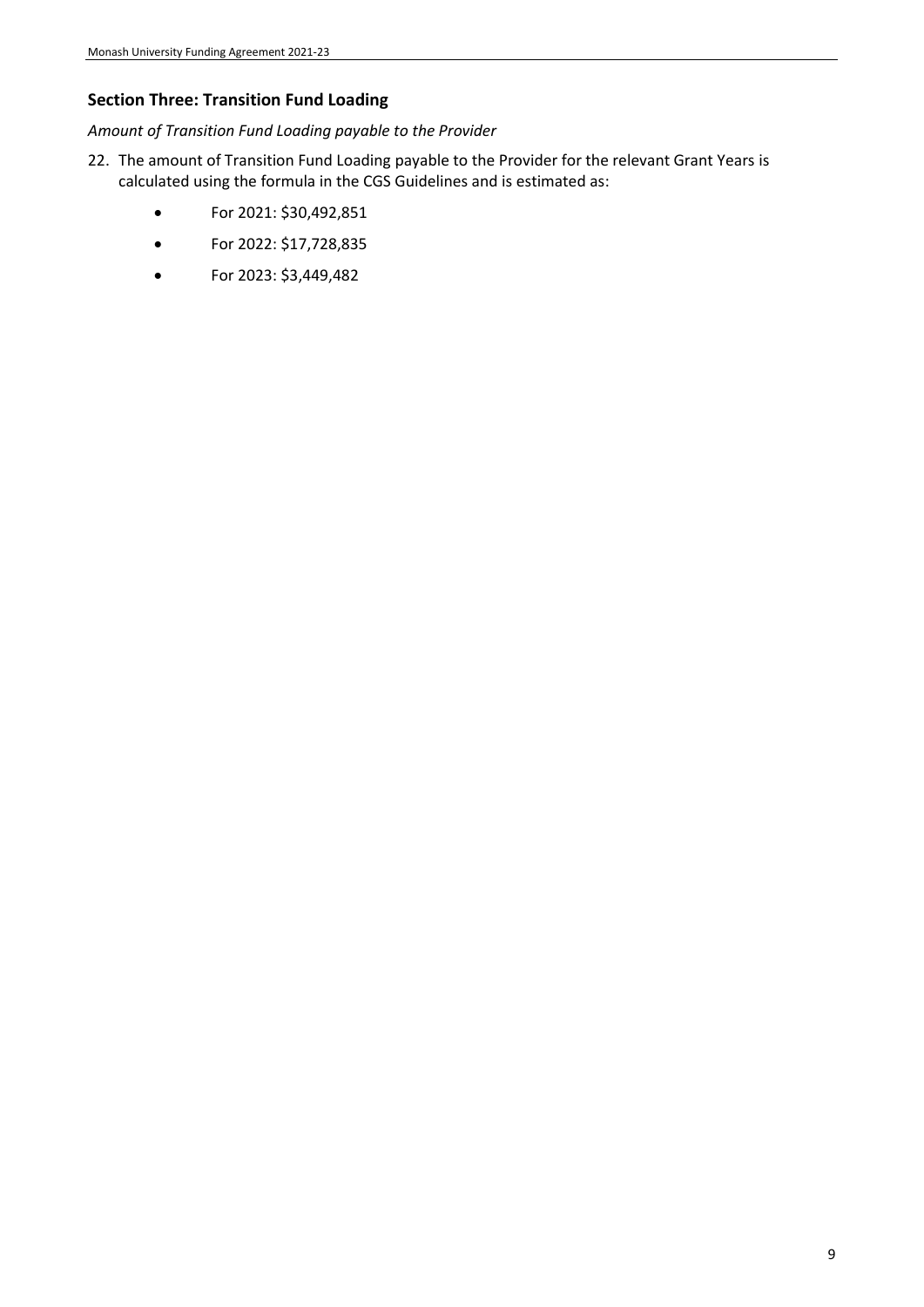#### **Section Three: Transition Fund Loading**

*Amount of Transition Fund Loading payable to the Provider*

- 22. The amount of Transition Fund Loading payable to the Provider for the relevant Grant Years is calculated using the formula in the CGS Guidelines and is estimated as:
	- For 2021: \$30,492,851
	- For 2022: \$17,728,835
	- For 2023: \$3,449,482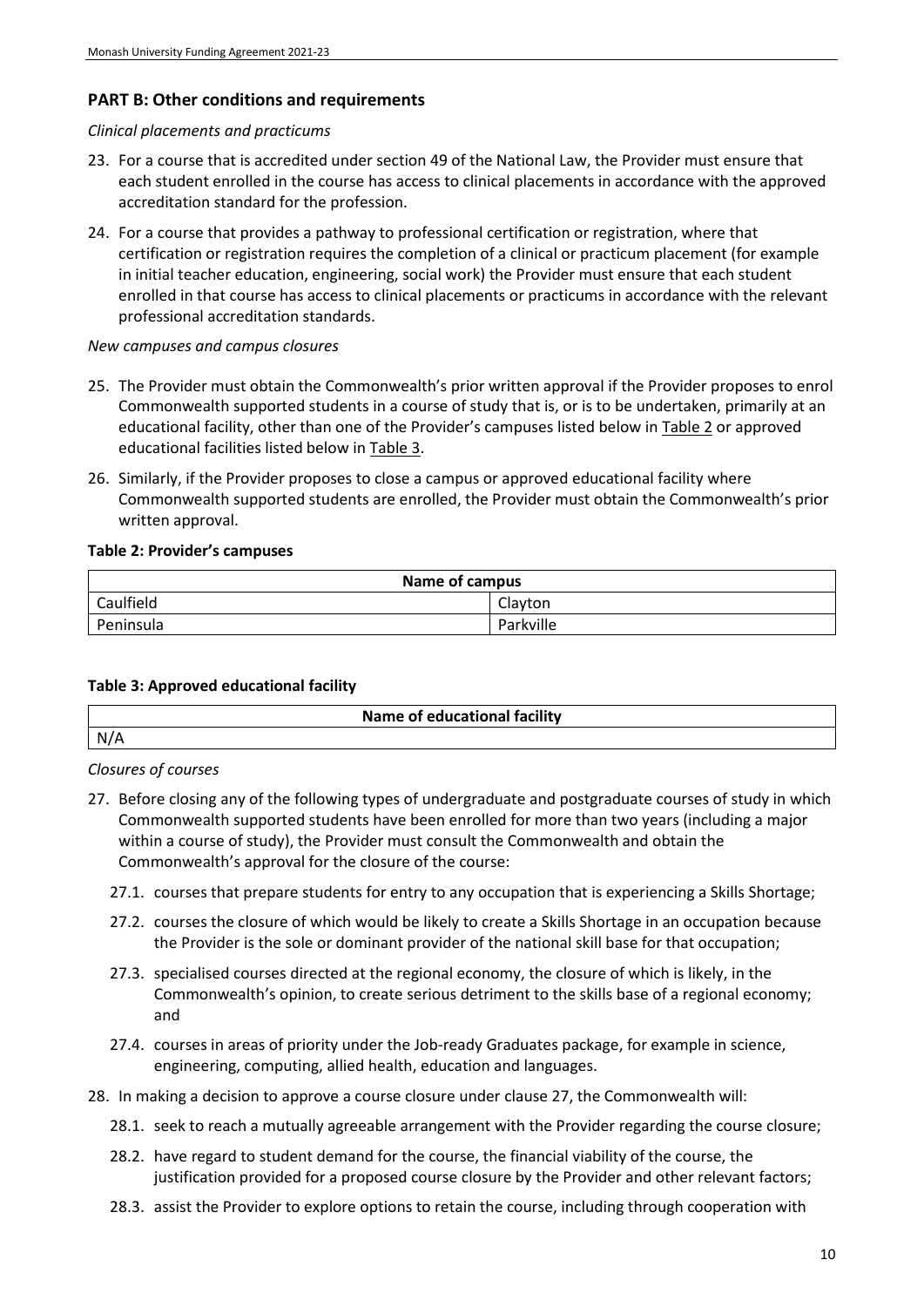### **PART B: Other conditions and requirements**

#### *Clinical placements and practicums*

- 23. For a course that is accredited under section 49 of the National Law, the Provider must ensure that each student enrolled in the course has access to clinical placements in accordance with the approved accreditation standard for the profession.
- 24. For a course that provides a pathway to professional certification or registration, where that certification or registration requires the completion of a clinical or practicum placement (for example in initial teacher education, engineering, social work) the Provider must ensure that each student enrolled in that course has access to clinical placements or practicums in accordance with the relevant professional accreditation standards.

#### *New campuses and campus closures*

- 25. The Provider must obtain the Commonwealth's prior written approval if the Provider proposes to enrol Commonwealth supported students in a course of study that is, or is to be undertaken, primarily at an educational facility, other than one of the Provider's campuses listed below in Table 2 or approved educational facilities listed below in Table 3.
- 26. Similarly, if the Provider proposes to close a campus or approved educational facility where Commonwealth supported students are enrolled, the Provider must obtain the Commonwealth's prior written approval.

#### **Table 2: Provider's campuses**

| Name of campus |           |  |
|----------------|-----------|--|
| Caulfield      | Clayton   |  |
| Peninsula      | Parkville |  |

#### **Table 3: Approved educational facility**

| Name of educational facility |
|------------------------------|
| N/A                          |

#### *Closures of courses*

- 27. Before closing any of the following types of undergraduate and postgraduate courses of study in which Commonwealth supported students have been enrolled for more than two years (including a major within a course of study), the Provider must consult the Commonwealth and obtain the Commonwealth's approval for the closure of the course:
	- 27.1. courses that prepare students for entry to any occupation that is experiencing a Skills Shortage;
	- 27.2. courses the closure of which would be likely to create a Skills Shortage in an occupation because the Provider is the sole or dominant provider of the national skill base for that occupation;
	- 27.3. specialised courses directed at the regional economy, the closure of which is likely, in the Commonwealth's opinion, to create serious detriment to the skills base of a regional economy; and
	- 27.4. courses in areas of priority under the Job-ready Graduates package, for example in science, engineering, computing, allied health, education and languages.
- 28. In making a decision to approve a course closure under clause 27, the Commonwealth will:
	- 28.1. seek to reach a mutually agreeable arrangement with the Provider regarding the course closure;
	- 28.2. have regard to student demand for the course, the financial viability of the course, the justification provided for a proposed course closure by the Provider and other relevant factors;
	- 28.3. assist the Provider to explore options to retain the course, including through cooperation with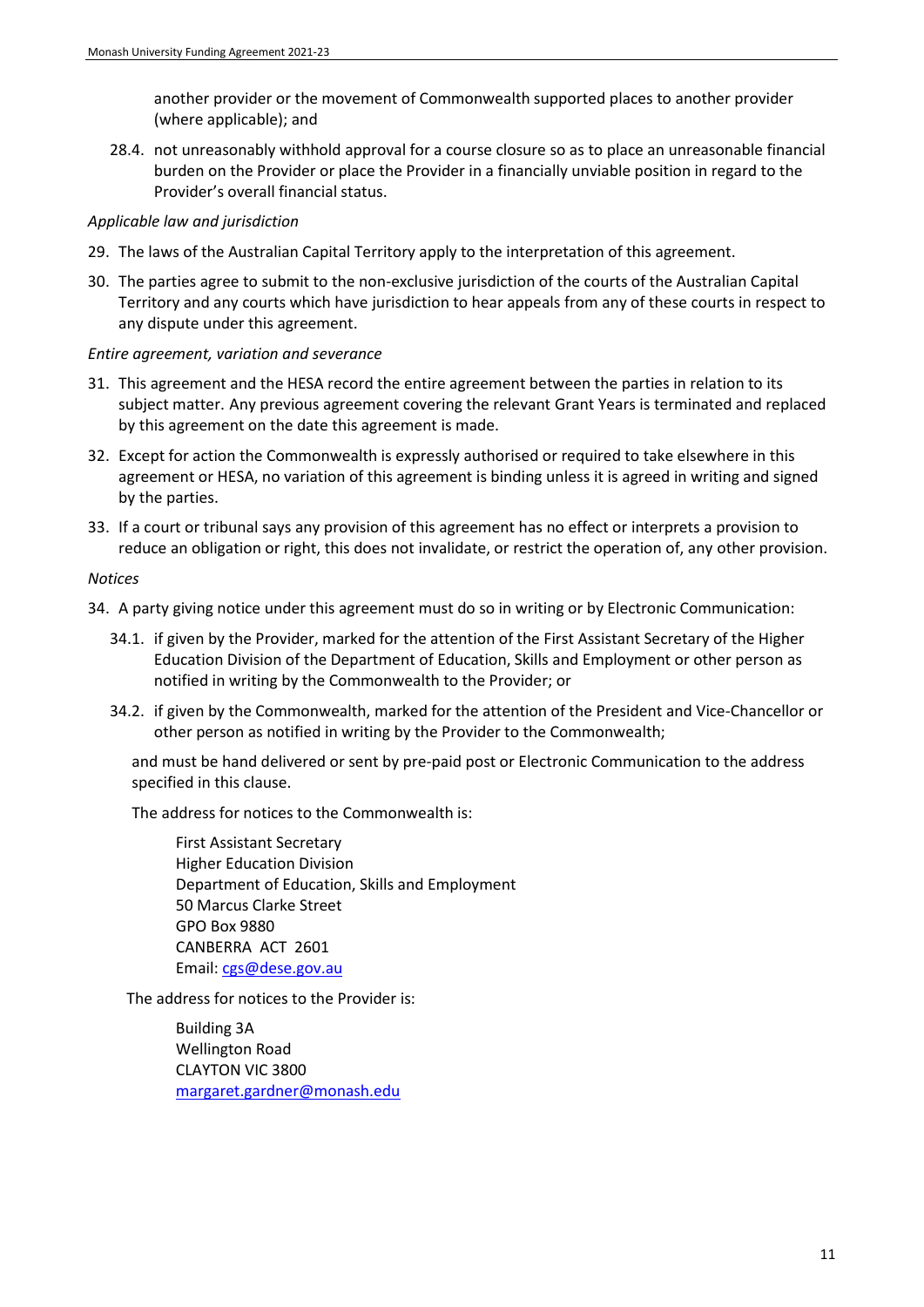another provider or the movement of Commonwealth supported places to another provider (where applicable); and

28.4. not unreasonably withhold approval for a course closure so as to place an unreasonable financial burden on the Provider or place the Provider in a financially unviable position in regard to the Provider's overall financial status.

### *Applicable law and jurisdiction*

- 29. The laws of the Australian Capital Territory apply to the interpretation of this agreement.
- 30. The parties agree to submit to the non-exclusive jurisdiction of the courts of the Australian Capital Territory and any courts which have jurisdiction to hear appeals from any of these courts in respect to any dispute under this agreement.

#### *Entire agreement, variation and severance*

- 31. This agreement and the HESA record the entire agreement between the parties in relation to its subject matter. Any previous agreement covering the relevant Grant Years is terminated and replaced by this agreement on the date this agreement is made.
- 32. Except for action the Commonwealth is expressly authorised or required to take elsewhere in this agreement or HESA, no variation of this agreement is binding unless it is agreed in writing and signed by the parties.
- 33. If a court or tribunal says any provision of this agreement has no effect or interprets a provision to reduce an obligation or right, this does not invalidate, or restrict the operation of, any other provision.

#### *Notices*

- 34. A party giving notice under this agreement must do so in writing or by Electronic Communication:
	- 34.1. if given by the Provider, marked for the attention of the First Assistant Secretary of the Higher Education Division of the Department of Education, Skills and Employment or other person as notified in writing by the Commonwealth to the Provider; or
	- 34.2. if given by the Commonwealth, marked for the attention of the President and Vice-Chancellor or other person as notified in writing by the Provider to the Commonwealth;

and must be hand delivered or sent by pre-paid post or Electronic Communication to the address specified in this clause.

The address for notices to the Commonwealth is:

First Assistant Secretary Higher Education Division Department of Education, Skills and Employment 50 Marcus Clarke Street GPO Box 9880 CANBERRA ACT 2601 Email: [cgs@dese.gov.au](mailto:cgs@dese.gov.au)

The address for notices to the Provider is:

Building 3A Wellington Road CLAYTON VIC 3800 [margaret.gardner@monash.edu](mailto:margaret.gardner@monash.edu)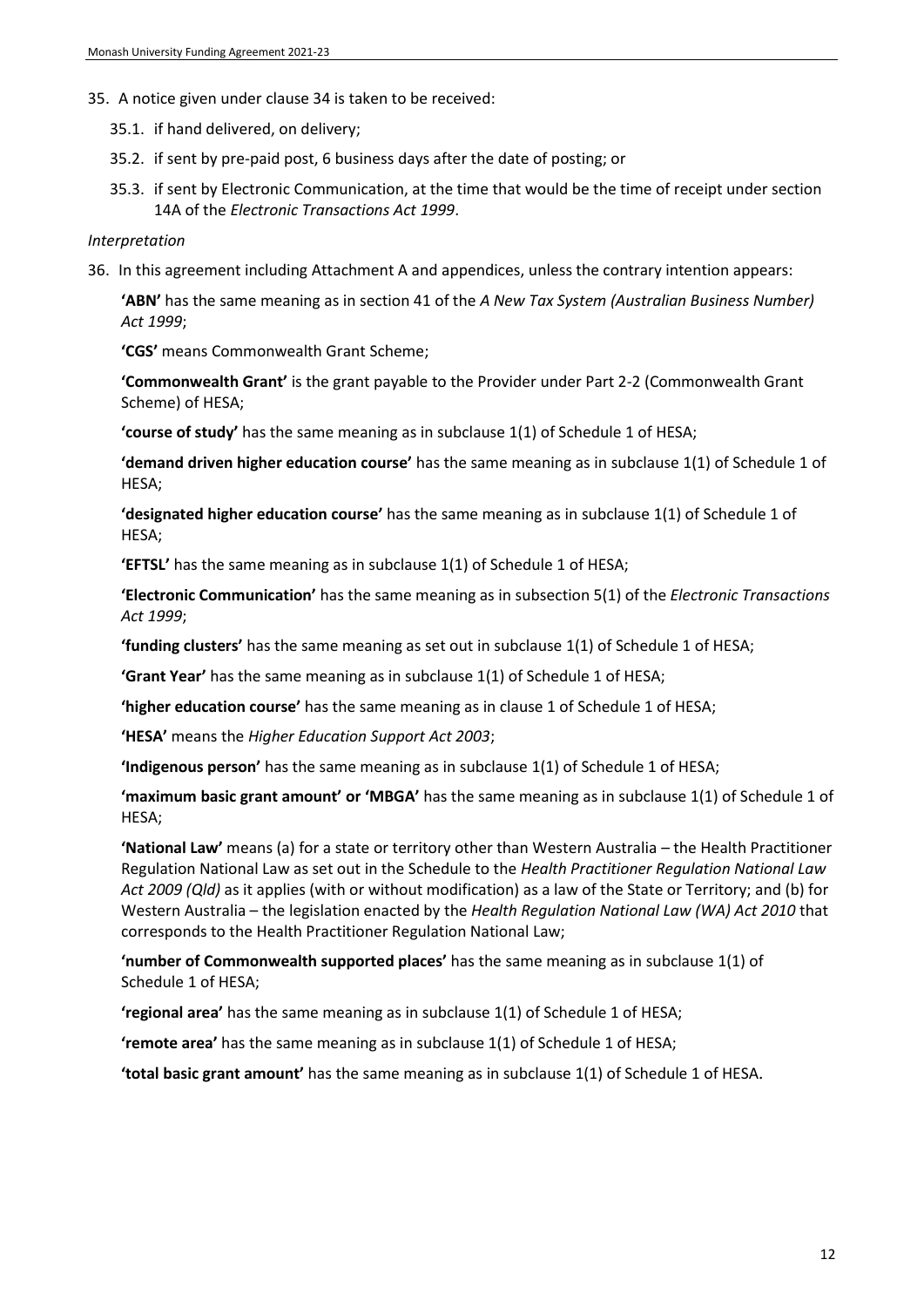- 35. A notice given under clause 34 is taken to be received:
	- 35.1. if hand delivered, on delivery;
	- 35.2. if sent by pre-paid post, 6 business days after the date of posting; or
	- 35.3. if sent by Electronic Communication, at the time that would be the time of receipt under section 14A of the *Electronic Transactions Act 1999*.

#### *Interpretation*

36. In this agreement including Attachment A and appendices, unless the contrary intention appears:

**'ABN'** has the same meaning as in section 41 of the *A New Tax System (Australian Business Number) Act 1999*;

**'CGS'** means Commonwealth Grant Scheme;

**'Commonwealth Grant'** is the grant payable to the Provider under Part 2-2 (Commonwealth Grant Scheme) of HESA;

**'course of study'** has the same meaning as in subclause 1(1) of Schedule 1 of HESA;

**'demand driven higher education course'** has the same meaning as in subclause 1(1) of Schedule 1 of HESA;

**'designated higher education course'** has the same meaning as in subclause 1(1) of Schedule 1 of HESA;

**'EFTSL'** has the same meaning as in subclause 1(1) of Schedule 1 of HESA;

**'Electronic Communication'** has the same meaning as in subsection 5(1) of the *Electronic Transactions Act 1999*;

**'funding clusters'** has the same meaning as set out in subclause 1(1) of Schedule 1 of HESA;

**'Grant Year'** has the same meaning as in subclause 1(1) of Schedule 1 of HESA;

**'higher education course'** has the same meaning as in clause 1 of Schedule 1 of HESA;

**'HESA'** means the *Higher Education Support Act 2003*;

**'Indigenous person'** has the same meaning as in subclause 1(1) of Schedule 1 of HESA;

**'maximum basic grant amount' or 'MBGA'** has the same meaning as in subclause 1(1) of Schedule 1 of HESA;

**'National Law'** means (a) for a state or territory other than Western Australia – the Health Practitioner Regulation National Law as set out in the Schedule to the *Health Practitioner Regulation National Law Act 2009 (Qld)* as it applies (with or without modification) as a law of the State or Territory; and (b) for Western Australia – the legislation enacted by the *Health Regulation National Law (WA) Act 2010* that corresponds to the Health Practitioner Regulation National Law;

**'number of Commonwealth supported places'** has the same meaning as in subclause 1(1) of Schedule 1 of HESA;

**'regional area'** has the same meaning as in subclause 1(1) of Schedule 1 of HESA;

**'remote area'** has the same meaning as in subclause 1(1) of Schedule 1 of HESA;

**'total basic grant amount'** has the same meaning as in subclause 1(1) of Schedule 1 of HESA.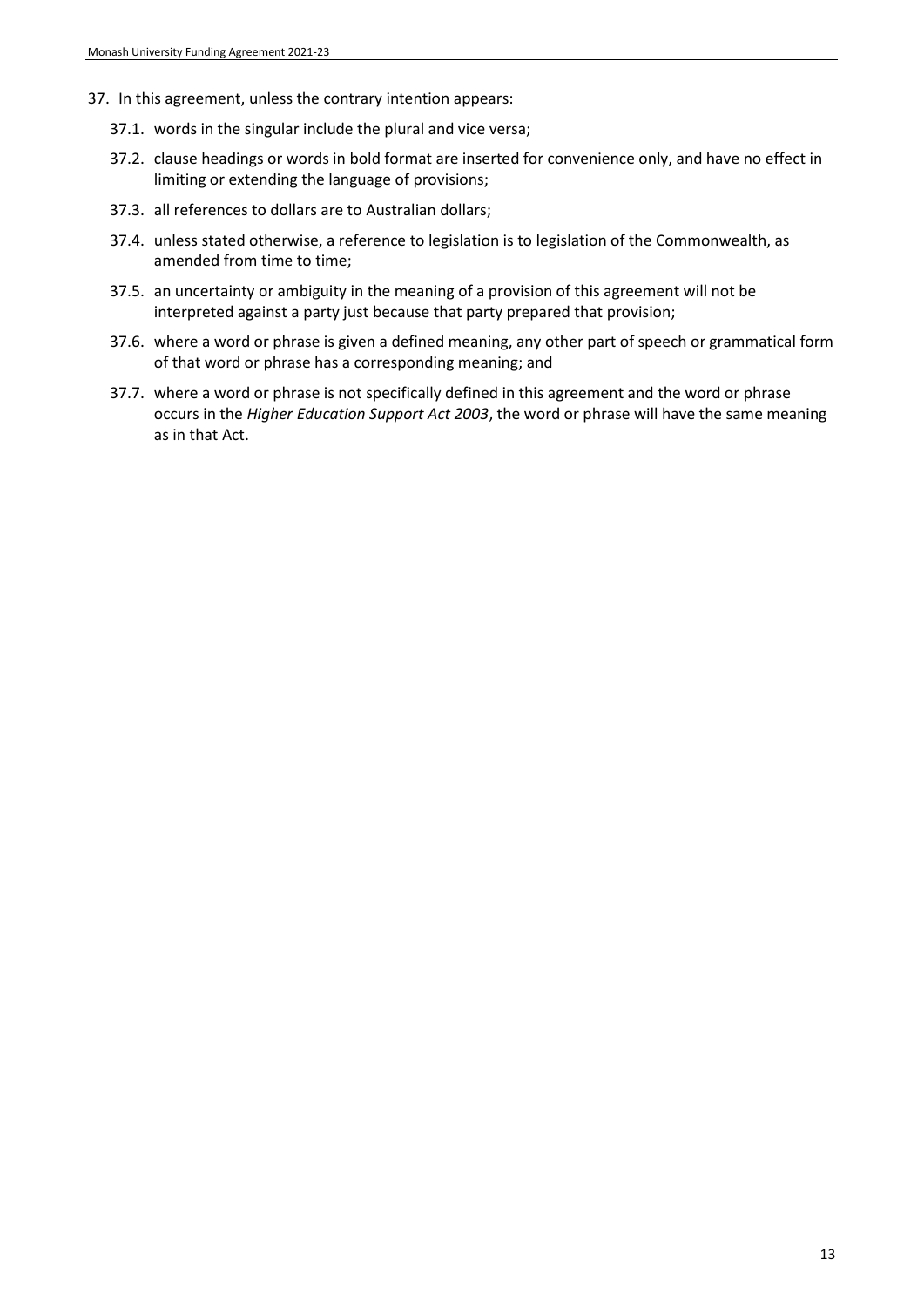- 37. In this agreement, unless the contrary intention appears:
	- 37.1. words in the singular include the plural and vice versa;
	- 37.2. clause headings or words in bold format are inserted for convenience only, and have no effect in limiting or extending the language of provisions;
	- 37.3. all references to dollars are to Australian dollars;
	- 37.4. unless stated otherwise, a reference to legislation is to legislation of the Commonwealth, as amended from time to time;
	- 37.5. an uncertainty or ambiguity in the meaning of a provision of this agreement will not be interpreted against a party just because that party prepared that provision;
	- 37.6. where a word or phrase is given a defined meaning, any other part of speech or grammatical form of that word or phrase has a corresponding meaning; and
	- 37.7. where a word or phrase is not specifically defined in this agreement and the word or phrase occurs in the *Higher Education Support Act 2003*, the word or phrase will have the same meaning as in that Act.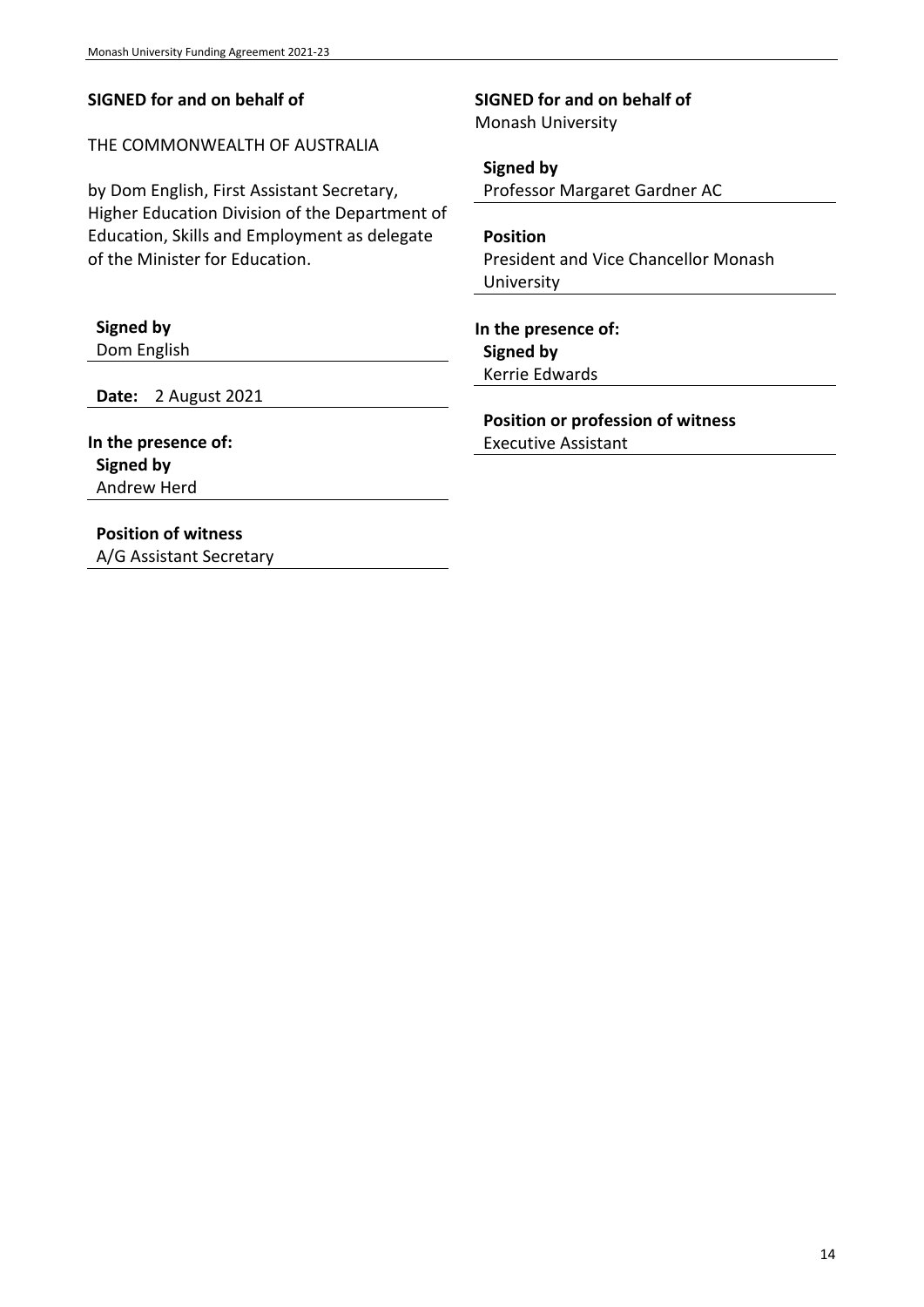#### **SIGNED for and on behalf of**

THE COMMONWEALTH OF AUSTRALIA

by Dom English, First Assistant Secretary, Higher Education Division of the Department of Education, Skills and Employment as delegate of the Minister for Education.

#### **Signed by**

Dom English

**Date:** 2 August 2021

**In the presence of: Signed by**  Andrew Herd

**Position of witness**  A/G Assistant Secretary **SIGNED for and on behalf of** Monash University

**Signed by**  Professor Margaret Gardner AC

**Position**  President and Vice Chancellor Monash University

**In the presence of: Signed by**  Kerrie Edwards

**Position or profession of witness**  Executive Assistant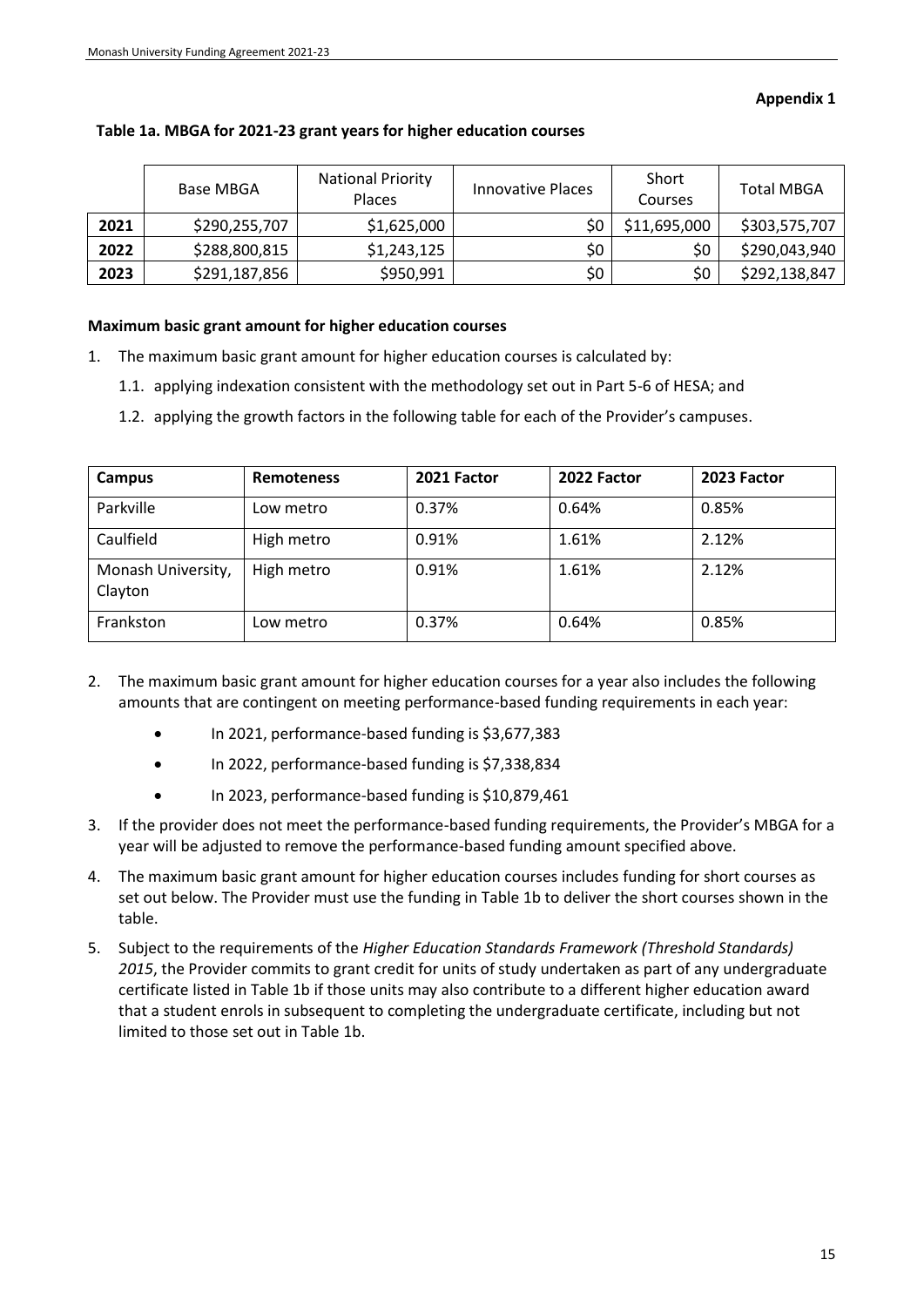#### **Appendix 1**

|      | Base MBGA     | <b>National Priority</b><br>Places | Innovative Places | Short<br>Courses | <b>Total MBGA</b> |
|------|---------------|------------------------------------|-------------------|------------------|-------------------|
| 2021 | \$290,255,707 | \$1,625,000                        | \$0               | \$11,695,000     | \$303,575,707     |
| 2022 | \$288,800,815 | \$1,243,125                        | \$0               | \$0              | \$290,043,940     |
| 2023 | \$291,187,856 | \$950,991                          | \$0               | \$0              | \$292,138,847     |

#### **Table 1a. MBGA for 2021-23 grant years for higher education courses**

#### **Maximum basic grant amount for higher education courses**

- 1. The maximum basic grant amount for higher education courses is calculated by:
	- 1.1. applying indexation consistent with the methodology set out in Part 5-6 of HESA; and
	- 1.2. applying the growth factors in the following table for each of the Provider's campuses.

| Campus                        | <b>Remoteness</b> | 2021 Factor | 2022 Factor | 2023 Factor |
|-------------------------------|-------------------|-------------|-------------|-------------|
| Parkville                     | Low metro         | 0.37%       | 0.64%       | 0.85%       |
| Caulfield                     | High metro        | 0.91%       | 1.61%       | 2.12%       |
| Monash University,<br>Clayton | High metro        | 0.91%       | 1.61%       | 2.12%       |
| Frankston                     | Low metro         | 0.37%       | 0.64%       | 0.85%       |

- 2. The maximum basic grant amount for higher education courses for a year also includes the following amounts that are contingent on meeting performance-based funding requirements in each year:
	- In 2021, performance-based funding is \$3,677,383
	- In 2022, performance-based funding is \$7,338,834
	- In 2023, performance-based funding is \$10,879,461
- 3. If the provider does not meet the performance-based funding requirements, the Provider's MBGA for a year will be adjusted to remove the performance-based funding amount specified above.
- 4. The maximum basic grant amount for higher education courses includes funding for short courses as set out below. The Provider must use the funding in Table 1b to deliver the short courses shown in the table.
- 5. Subject to the requirements of the *Higher Education Standards Framework (Threshold Standards) 2015*, the Provider commits to grant credit for units of study undertaken as part of any undergraduate certificate listed in Table 1b if those units may also contribute to a different higher education award that a student enrols in subsequent to completing the undergraduate certificate, including but not limited to those set out in Table 1b.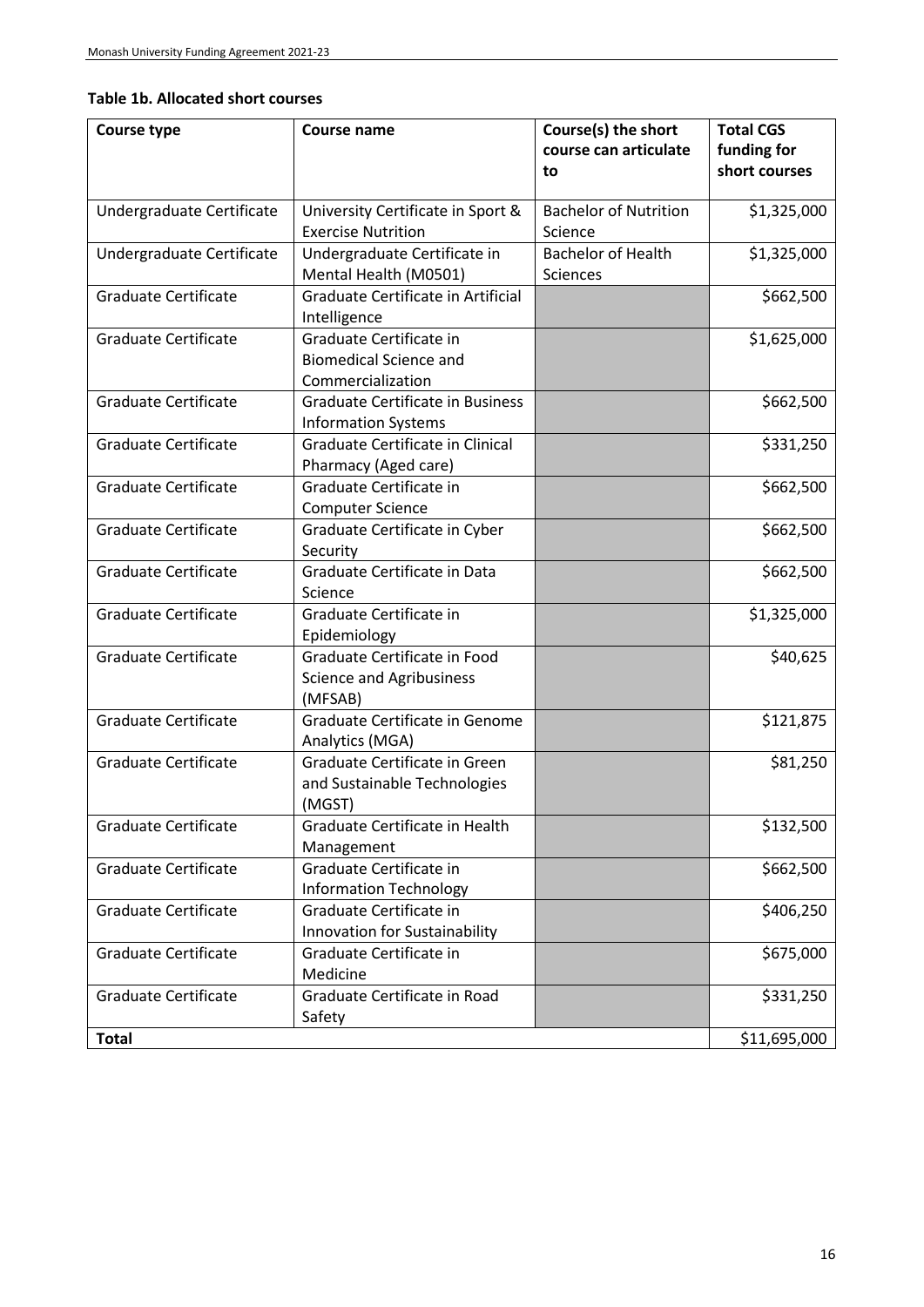#### **Table 1b. Allocated short courses**

| <b>Course type</b>          | Course name                                | Course(s) the short          | <b>Total CGS</b> |
|-----------------------------|--------------------------------------------|------------------------------|------------------|
|                             |                                            | course can articulate        | funding for      |
|                             |                                            | to                           | short courses    |
| Undergraduate Certificate   | University Certificate in Sport &          | <b>Bachelor of Nutrition</b> | \$1,325,000      |
|                             | <b>Exercise Nutrition</b>                  | Science                      |                  |
| Undergraduate Certificate   | Undergraduate Certificate in               | <b>Bachelor of Health</b>    | \$1,325,000      |
|                             | Mental Health (M0501)                      | Sciences                     |                  |
| <b>Graduate Certificate</b> | Graduate Certificate in Artificial         |                              | \$662,500        |
|                             | Intelligence                               |                              |                  |
| <b>Graduate Certificate</b> | Graduate Certificate in                    |                              | \$1,625,000      |
|                             | <b>Biomedical Science and</b>              |                              |                  |
|                             | Commercialization                          |                              |                  |
| <b>Graduate Certificate</b> | Graduate Certificate in Business           |                              | \$662,500        |
|                             | <b>Information Systems</b>                 |                              |                  |
| <b>Graduate Certificate</b> | Graduate Certificate in Clinical           |                              | \$331,250        |
|                             | Pharmacy (Aged care)                       |                              |                  |
| <b>Graduate Certificate</b> | Graduate Certificate in                    |                              | \$662,500        |
|                             | <b>Computer Science</b>                    |                              |                  |
| <b>Graduate Certificate</b> | Graduate Certificate in Cyber              |                              | \$662,500        |
|                             | Security                                   |                              |                  |
| <b>Graduate Certificate</b> | Graduate Certificate in Data               |                              | \$662,500        |
|                             | Science                                    |                              |                  |
| <b>Graduate Certificate</b> | Graduate Certificate in                    |                              | \$1,325,000      |
|                             | Epidemiology                               |                              |                  |
| <b>Graduate Certificate</b> | Graduate Certificate in Food               |                              | \$40,625         |
|                             | <b>Science and Agribusiness</b><br>(MFSAB) |                              |                  |
| <b>Graduate Certificate</b> | Graduate Certificate in Genome             |                              | \$121,875        |
|                             | Analytics (MGA)                            |                              |                  |
| <b>Graduate Certificate</b> | Graduate Certificate in Green              |                              | \$81,250         |
|                             | and Sustainable Technologies               |                              |                  |
|                             | (MGST)                                     |                              |                  |
| <b>Graduate Certificate</b> | Graduate Certificate in Health             |                              | \$132,500        |
|                             | Management                                 |                              |                  |
| <b>Graduate Certificate</b> | Graduate Certificate in                    |                              | \$662,500        |
|                             | <b>Information Technology</b>              |                              |                  |
| <b>Graduate Certificate</b> | Graduate Certificate in                    |                              | \$406,250        |
|                             | Innovation for Sustainability              |                              |                  |
| <b>Graduate Certificate</b> | Graduate Certificate in                    |                              | \$675,000        |
|                             | Medicine                                   |                              |                  |
| <b>Graduate Certificate</b> | Graduate Certificate in Road               |                              | \$331,250        |
|                             | Safety                                     |                              |                  |
| <b>Total</b>                |                                            |                              | \$11,695,000     |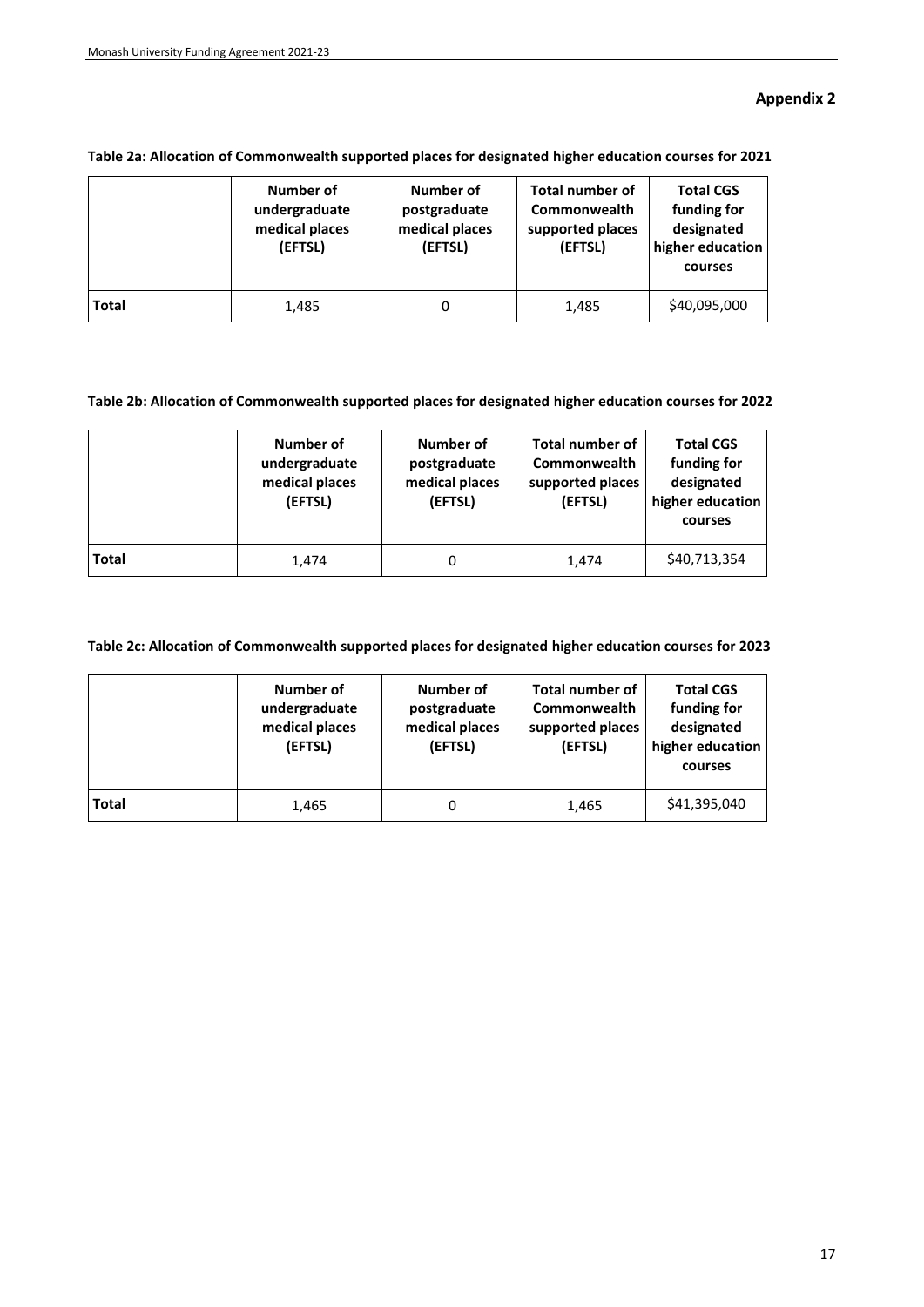#### **Appendix 2**

|              | Number of<br>undergraduate<br>medical places<br>(EFTSL) | Number of<br>postgraduate<br>medical places<br>(EFTSL) | <b>Total number of</b><br>Commonwealth<br>supported places<br>(EFTSL) | <b>Total CGS</b><br>funding for<br>designated<br>higher education<br>courses |
|--------------|---------------------------------------------------------|--------------------------------------------------------|-----------------------------------------------------------------------|------------------------------------------------------------------------------|
| <b>Total</b> | 1,485                                                   | 0                                                      | 1,485                                                                 | \$40,095,000                                                                 |

#### **Table 2a: Allocation of Commonwealth supported places for designated higher education courses for 2021**

# **Table 2b: Allocation of Commonwealth supported places for designated higher education courses for 2022**

|              | Number of<br>undergraduate<br>medical places<br>(EFTSL) | Number of<br>postgraduate<br>medical places<br>(EFTSL) | Total number of<br>Commonwealth<br>supported places<br>(EFTSL) | <b>Total CGS</b><br>funding for<br>designated<br>higher education<br>courses |
|--------------|---------------------------------------------------------|--------------------------------------------------------|----------------------------------------------------------------|------------------------------------------------------------------------------|
| <b>Total</b> | 1.474                                                   | 0                                                      | 1.474                                                          | \$40,713,354                                                                 |

### **Table 2c: Allocation of Commonwealth supported places for designated higher education courses for 2023**

|              | Number of<br>undergraduate<br>medical places<br>(EFTSL) | Number of<br>postgraduate<br>medical places<br>(EFTSL) | Total number of<br>Commonwealth<br>supported places<br>(EFTSL) | <b>Total CGS</b><br>funding for<br>designated<br>higher education<br>courses |
|--------------|---------------------------------------------------------|--------------------------------------------------------|----------------------------------------------------------------|------------------------------------------------------------------------------|
| <b>Total</b> | 1,465                                                   | 0                                                      | 1,465                                                          | \$41,395,040                                                                 |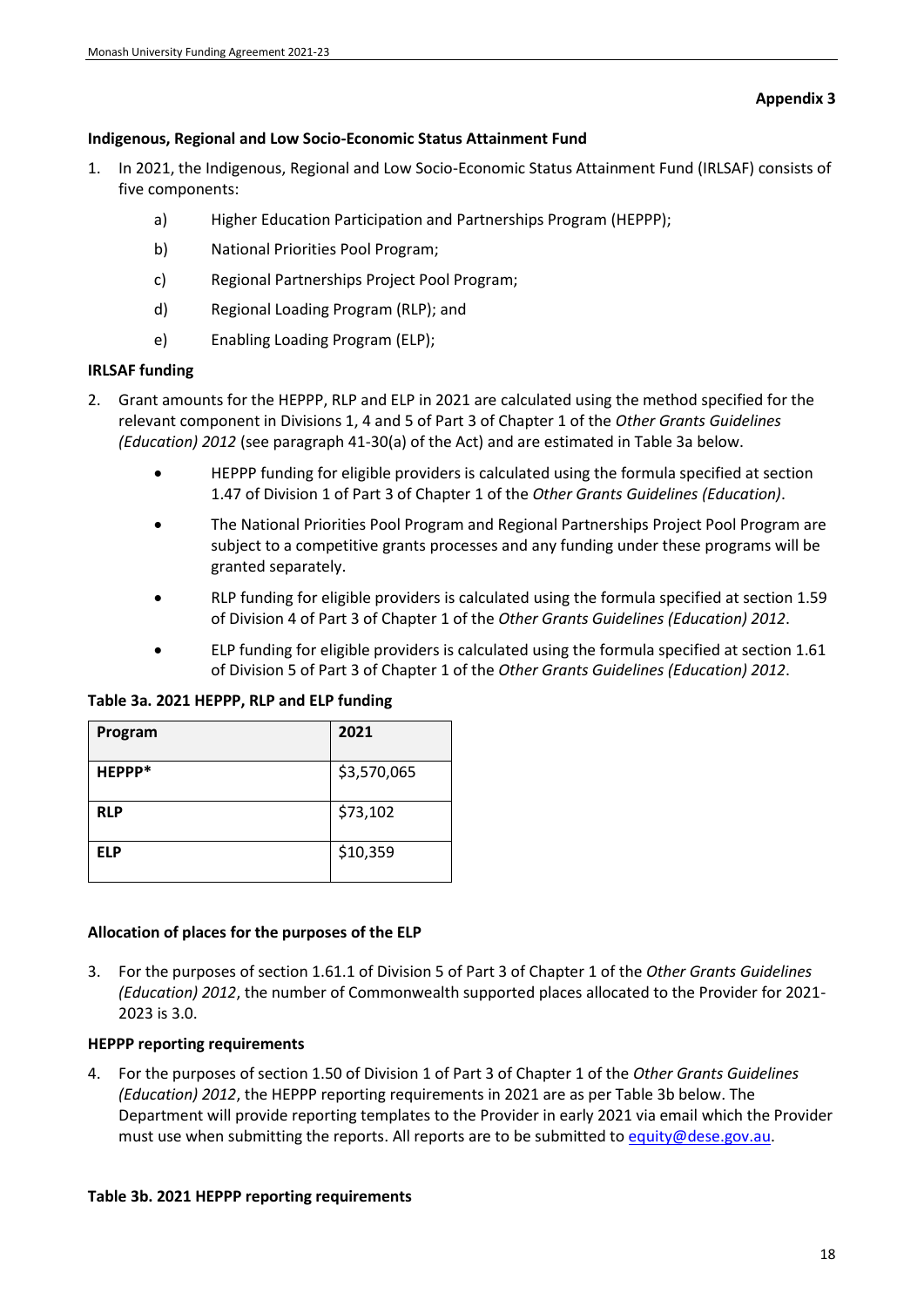# **Indigenous, Regional and Low Socio-Economic Status Attainment Fund**

- 1. In 2021, the Indigenous, Regional and Low Socio-Economic Status Attainment Fund (IRLSAF) consists of five components:
	- a) Higher Education Participation and Partnerships Program (HEPPP);
	- b) National Priorities Pool Program;
	- c) Regional Partnerships Project Pool Program;
	- d) Regional Loading Program (RLP); and
	- e) Enabling Loading Program (ELP);

#### **IRLSAF funding**

- 2. Grant amounts for the HEPPP, RLP and ELP in 2021 are calculated using the method specified for the relevant component in Divisions 1, 4 and 5 of Part 3 of Chapter 1 of the *Other Grants Guidelines (Education) 2012* (see paragraph 41-30(a) of the Act) and are estimated in Table 3a below.
	- HEPPP funding for eligible providers is calculated using the formula specified at section 1.47 of Division 1 of Part 3 of Chapter 1 of the *Other Grants Guidelines (Education)*.
	- The National Priorities Pool Program and Regional Partnerships Project Pool Program are subject to a competitive grants processes and any funding under these programs will be granted separately.
	- RLP funding for eligible providers is calculated using the formula specified at section 1.59 of Division 4 of Part 3 of Chapter 1 of the *Other Grants Guidelines (Education) 2012*.
	- ELP funding for eligible providers is calculated using the formula specified at section 1.61 of Division 5 of Part 3 of Chapter 1 of the *Other Grants Guidelines (Education) 2012*.

**Table 3a. 2021 HEPPP, RLP and ELP funding**

| Program    | 2021        |
|------------|-------------|
| HEPPP*     | \$3,570,065 |
| <b>RLP</b> | \$73,102    |
| <b>ELP</b> | \$10,359    |

#### **Allocation of places for the purposes of the ELP**

3. For the purposes of section 1.61.1 of Division 5 of Part 3 of Chapter 1 of the *Other Grants Guidelines (Education) 2012*, the number of Commonwealth supported places allocated to the Provider for 2021- 2023 is 3.0.

#### **HEPPP reporting requirements**

4. For the purposes of section 1.50 of Division 1 of Part 3 of Chapter 1 of the *Other Grants Guidelines (Education) 2012*, the HEPPP reporting requirements in 2021 are as per Table 3b below. The Department will provide reporting templates to the Provider in early 2021 via email which the Provider must use when submitting the reports. All reports are to be submitted to [equity@dese.gov.au.](mailto:equity@dese.gov.au)

#### **Table 3b. 2021 HEPPP reporting requirements**